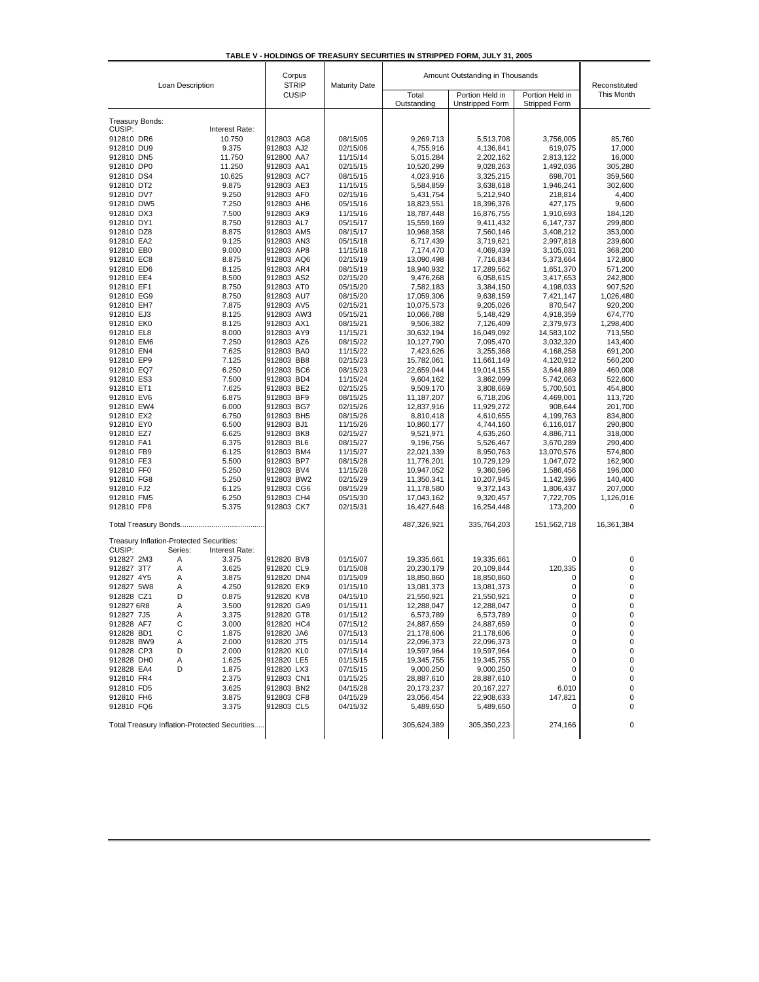| TABLE V - HOLDINGS OF TREASURY SECURITIES IN STRIPPED FORM, JULY 31, 2005 |  |  |  |
|---------------------------------------------------------------------------|--|--|--|
|                                                                           |  |  |  |

| Loan Description                         |         | Corpus<br><b>STRIP</b>                        | <b>Maturity Date</b>     | Amount Outstanding in Thousands | Reconstituted                             |                                         |                        |                    |
|------------------------------------------|---------|-----------------------------------------------|--------------------------|---------------------------------|-------------------------------------------|-----------------------------------------|------------------------|--------------------|
|                                          |         | <b>CUSIP</b>                                  |                          | Total<br>Outstanding            | Portion Held in<br><b>Unstripped Form</b> | Portion Held in<br><b>Stripped Form</b> | This Month             |                    |
| Treasury Bonds:                          |         |                                               |                          |                                 |                                           |                                         |                        |                    |
| CUSIP:                                   |         | Interest Rate:                                |                          |                                 |                                           |                                         |                        |                    |
| 912810 DR6                               |         | 10.750                                        | 912803 AG8               | 08/15/05                        | 9,269,713                                 | 5,513,708                               | 3,756,005              | 85,760             |
| 912810 DU9                               |         | 9.375                                         | 912803 AJ2               | 02/15/06                        | 4,755,916                                 | 4,136,841                               | 619,075                | 17,000             |
| 912810 DN5                               |         | 11.750                                        | 912800 AA7               | 11/15/14                        | 5,015,284                                 | 2,202,162                               | 2,813,122              | 16,000             |
| 912810 DP0                               |         | 11.250                                        | 912803 AA1               | 02/15/15                        | 10,520,299                                | 9,028,263                               | 1,492,036              | 305,280            |
| 912810 DS4                               |         | 10.625                                        | 912803 AC7               | 08/15/15                        | 4,023,916                                 | 3,325,215                               | 698,701                | 359,560            |
| 912810 DT2                               |         | 9.875                                         | 912803 AE3               | 11/15/15                        | 5,584,859                                 | 3,638,618                               | 1,946,241              | 302,600            |
| 912810 DV7                               |         | 9.250                                         | 912803 AF0               | 02/15/16                        | 5,431,754                                 | 5,212,940                               | 218,814                | 4,400              |
| 912810 DW5                               |         | 7.250                                         | 912803 AH6               | 05/15/16                        | 18,823,551                                | 18,396,376                              | 427,175                | 9,600              |
| 912810 DX3<br>912810 DY1                 |         | 7.500<br>8.750                                | 912803 AK9<br>912803 AL7 | 11/15/16                        | 18,787,448                                | 16,876,755                              | 1,910,693              | 184,120            |
|                                          |         |                                               |                          | 05/15/17                        | 15,559,169<br>10,968,358                  | 9,411,432                               | 6,147,737              | 299,800            |
| 912810 DZ8<br>912810 EA2                 |         | 8.875<br>9.125                                | 912803 AM5<br>912803 AN3 | 08/15/17<br>05/15/18            | 6,717,439                                 | 7,560,146<br>3,719,621                  | 3,408,212<br>2,997,818 | 353,000<br>239,600 |
| 912810 EB0                               |         | 9.000                                         | 912803 AP8               | 11/15/18                        | 7,174,470                                 | 4,069,439                               | 3,105,031              | 368,200            |
| 912810 EC8                               |         | 8.875                                         | 912803 AQ6               | 02/15/19                        | 13,090,498                                | 7,716,834                               | 5,373,664              | 172,800            |
| 912810 ED6                               |         | 8.125                                         | 912803 AR4               | 08/15/19                        | 18,940,932                                | 17,289,562                              | 1,651,370              | 571,200            |
| 912810 EE4                               |         | 8.500                                         | 912803 AS2               | 02/15/20                        | 9,476,268                                 | 6,058,615                               | 3,417,653              | 242,800            |
| 912810 EF1                               |         | 8.750                                         | 912803 AT0               | 05/15/20                        | 7,582,183                                 | 3,384,150                               | 4,198,033              | 907,520            |
| 912810 EG9                               |         | 8.750                                         | 912803 AU7               | 08/15/20                        | 17,059,306                                | 9,638,159                               | 7,421,147              | 1,026,480          |
| 912810 EH7                               |         | 7.875                                         | 912803 AV5               | 02/15/21                        | 10,075,573                                | 9,205,026                               | 870,547                | 920,200            |
| 912810 EJ3                               |         | 8.125                                         | 912803 AW3               | 05/15/21                        | 10,066,788                                | 5,148,429                               | 4,918,359              | 674,770            |
| 912810 EK0                               |         | 8.125                                         | 912803 AX1               | 08/15/21                        | 9,506,382                                 | 7,126,409                               | 2,379,973              | 1,298,400          |
| 912810 EL8                               |         | 8.000                                         | 912803 AY9               | 11/15/21                        | 30,632,194                                | 16,049,092                              | 14,583,102             | 713,550            |
| 912810 EM6                               |         | 7.250                                         | 912803 AZ6               | 08/15/22                        | 10,127,790                                | 7,095,470                               | 3,032,320              | 143,400            |
| 912810 EN4                               |         | 7.625                                         | 912803 BA0               | 11/15/22                        | 7,423,626                                 | 3,255,368                               | 4,168,258              | 691,200            |
| 912810 EP9                               |         | 7.125                                         | 912803 BB8               | 02/15/23                        | 15,782,061                                | 11,661,149                              | 4,120,912              | 560,200            |
| 912810 EQ7                               |         | 6.250                                         | 912803 BC6               | 08/15/23                        | 22,659,044                                | 19,014,155                              | 3,644,889              | 460,008            |
| 912810 ES3                               |         | 7.500                                         | 912803 BD4               | 11/15/24                        | 9,604,162                                 | 3,862,099                               | 5,742,063              | 522,600            |
| 912810 ET1<br>912810 EV6                 |         | 7.625                                         | 912803 BE2<br>912803 BF9 | 02/15/25<br>08/15/25            | 9,509,170                                 | 3,808,669                               | 5,700,501              | 454,800<br>113,720 |
| 912810 EW4                               |         | 6.875<br>6.000                                | 912803 BG7               | 02/15/26                        | 11,187,207<br>12,837,916                  | 6,718,206<br>11,929,272                 | 4,469,001<br>908,644   | 201,700            |
| 912810 EX2                               |         | 6.750                                         | 912803 BH5               | 08/15/26                        | 8,810,418                                 | 4,610,655                               | 4,199,763              | 834,800            |
| 912810 EY0                               |         | 6.500                                         | 912803 BJ1               | 11/15/26                        | 10,860,177                                | 4,744,160                               | 6,116,017              | 290,800            |
| 912810 EZ7                               |         | 6.625                                         | 912803 BK8               | 02/15/27                        | 9,521,971                                 | 4,635,260                               | 4,886,711              | 318,000            |
| 912810 FA1                               |         | 6.375                                         | 912803 BL6               | 08/15/27                        | 9,196,756                                 | 5,526,467                               | 3,670,289              | 290,400            |
| 912810 FB9                               |         | 6.125                                         | 912803 BM4               | 11/15/27                        | 22,021,339                                | 8,950,763                               | 13,070,576             | 574,800            |
| 912810 FE3                               |         | 5.500                                         | 912803 BP7               | 08/15/28                        | 11,776,201                                | 10,729,129                              | 1,047,072              | 162,900            |
| 912810 FF0                               |         | 5.250                                         | 912803 BV4               | 11/15/28                        | 10,947,052                                | 9,360,596                               | 1,586,456              | 196,000            |
| 912810 FG8                               |         | 5.250                                         | 912803 BW2               | 02/15/29                        | 11,350,341                                | 10,207,945                              | 1,142,396              | 140,400            |
| 912810 FJ2                               |         | 6.125                                         | 912803 CG6               | 08/15/29                        | 11,178,580                                | 9,372,143                               | 1,806,437              | 207,000            |
| 912810 FM5                               |         | 6.250                                         | 912803 CH4               | 05/15/30                        | 17,043,162                                | 9,320,457                               | 7,722,705              | 1,126,016          |
| 912810 FP8                               |         | 5.375                                         | 912803 CK7               | 02/15/31                        | 16,427,648                                | 16,254,448                              | 173,200                | 0                  |
|                                          |         |                                               |                          |                                 | 487,326,921                               | 335,764,203                             | 151,562,718            | 16,361,384         |
| Treasury Inflation-Protected Securities: |         |                                               |                          |                                 |                                           |                                         |                        |                    |
| CUSIP:                                   | Series: | Interest Rate:                                |                          |                                 |                                           |                                         |                        |                    |
| 912827 2M3                               | Α       | 3.375                                         | 912820 BV8               | 01/15/07                        | 19,335,661                                | 19,335,661                              | 0                      | 0                  |
| 912827 3T7                               | Α       | 3.625                                         | 912820 CL9               | 01/15/08                        | 20,230,179                                | 20,109,844                              | 120,335                | 0                  |
| 912827 4Y5                               | Α       | 3.875                                         | 912820 DN4               | 01/15/09                        | 18,850,860                                | 18,850,860                              | 0                      | 0                  |
| 912827 5W8                               | A       | 4.250                                         | 912820 EK9               | 01/15/10                        | 13,081,373                                | 13,081,373                              | 0                      | 0                  |
| 912828 CZ1                               | D       | 0.875                                         | 912820 KV8               | 04/15/10                        | 21,550,921                                | 21,550,921                              | 0                      | 0                  |
| 912827 6R8                               | A       | 3.500                                         | 912820 GA9               | 01/15/11                        | 12,288,047                                | 12,288,047                              | 0                      | 0                  |
| 912827 7J5                               | A       | 3.375                                         | 912820 GT8               | 01/15/12                        | 6,573,789                                 | 6,573,789                               | 0                      | 0                  |
| 912828 AF7                               | С       | 3.000                                         | 912820 HC4               | 07/15/12                        | 24,887,659                                | 24,887,659                              | 0                      | 0                  |
| 912828 BD1                               | С       | 1.875                                         | 912820 JA6               | 07/15/13                        | 21,178,606                                | 21,178,606                              | 0                      | 0                  |
| 912828 BW9                               | Α       | 2.000                                         | 912820 JT5               | 01/15/14                        | 22,096,373                                | 22,096,373<br>19,597,964                | 0                      | 0<br>0             |
| 912828 CP3<br>912828 DH0                 | D<br>Α  | 2.000                                         | 912820 KL0<br>912820 LE5 | 07/15/14                        | 19,597,964                                | 19,345,755                              | 0<br>0                 | 0                  |
| 912828 EA4                               | D       | 1.625<br>1.875                                | 912820 LX3               | 01/15/15<br>07/15/15            | 19,345,755<br>9,000,250                   | 9,000,250                               | 0                      | 0                  |
| 912810 FR4                               |         | 2.375                                         | 912803 CN1               | 01/15/25                        | 28,887,610                                | 28,887,610                              | 0                      | 0                  |
| 912810 FD5                               |         | 3.625                                         | 912803 BN2               | 04/15/28                        | 20,173,237                                | 20, 167, 227                            | 6,010                  | 0                  |
| 912810 FH6                               |         | 3.875                                         | 912803 CF8               | 04/15/29                        | 23,056,454                                | 22,908,633                              | 147,821                | 0                  |
| 912810 FQ6                               |         | 3.375                                         | 912803 CL5               | 04/15/32                        | 5,489,650                                 | 5,489,650                               | 0                      | 0                  |
|                                          |         | Total Treasury Inflation-Protected Securities |                          |                                 | 305,624,389                               | 305,350,223                             | 274,166                | 0                  |